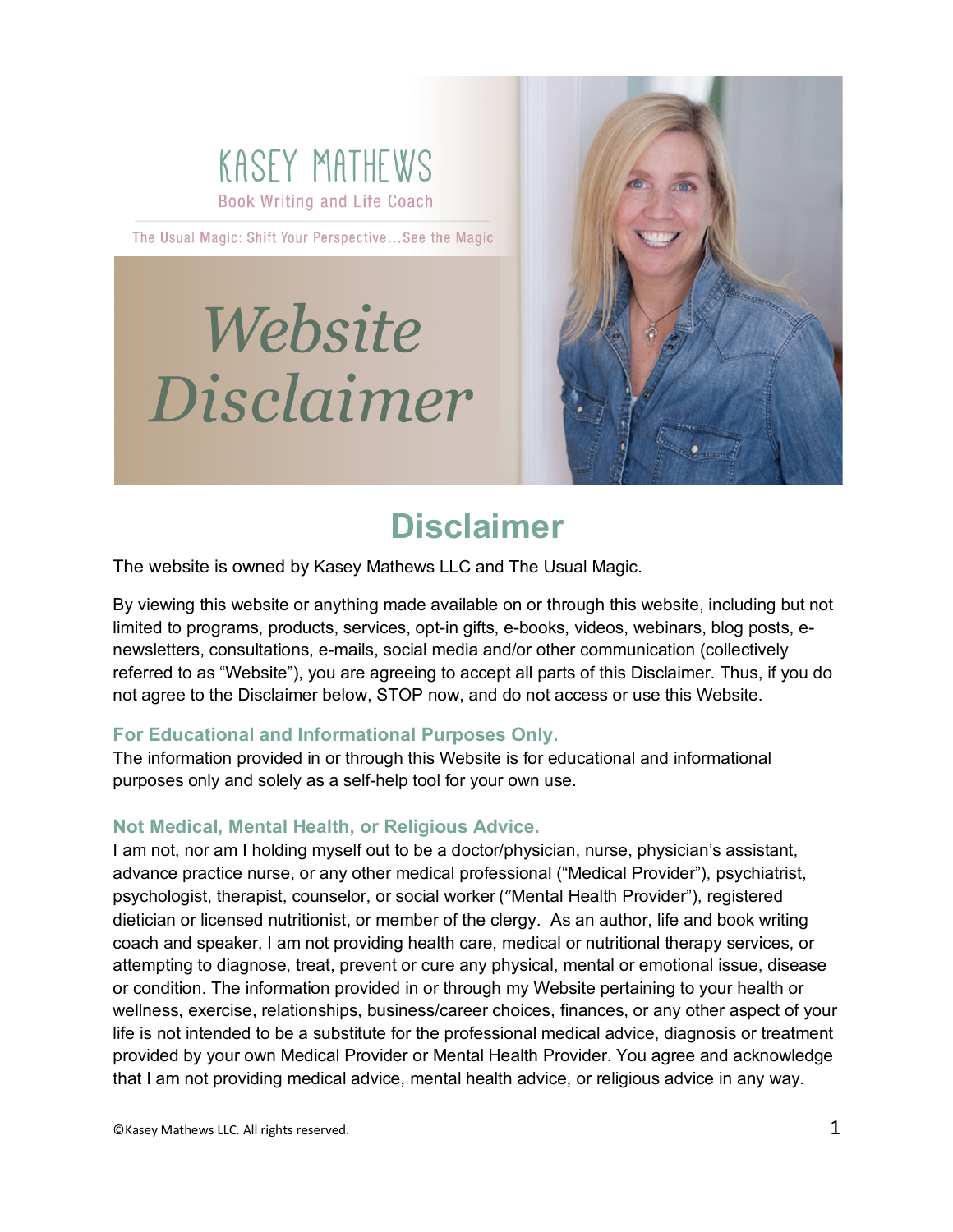

The Usual Magic: Shift Your Perspective...See the Magic

# Website Disclaimer



# **Disclaimer**

The website is owned by Kasey Mathews LLC and The Usual Magic.

By viewing this website or anything made available on or through this website, including but not limited to programs, products, services, opt-in gifts, e-books, videos, webinars, blog posts, enewsletters, consultations, e-mails, social media and/or other communication (collectively referred to as "Website"), you are agreeing to accept all parts of this Disclaimer. Thus, if you do not agree to the Disclaimer below, STOP now, and do not access or use this Website.

# **For Educational and Informational Purposes Only.**

The information provided in or through this Website is for educational and informational purposes only and solely as a self-help tool for your own use.

# **Not Medical, Mental Health, or Religious Advice.**

I am not, nor am I holding myself out to be a doctor/physician, nurse, physician's assistant, advance practice nurse, or any other medical professional ("Medical Provider"), psychiatrist, psychologist, therapist, counselor, or social worker ("Mental Health Provider"), registered dietician or licensed nutritionist, or member of the clergy. As an author, life and book writing coach and speaker, I am not providing health care, medical or nutritional therapy services, or attempting to diagnose, treat, prevent or cure any physical, mental or emotional issue, disease or condition. The information provided in or through my Website pertaining to your health or wellness, exercise, relationships, business/career choices, finances, or any other aspect of your life is not intended to be a substitute for the professional medical advice, diagnosis or treatment provided by your own Medical Provider or Mental Health Provider. You agree and acknowledge that I am not providing medical advice, mental health advice, or religious advice in any way.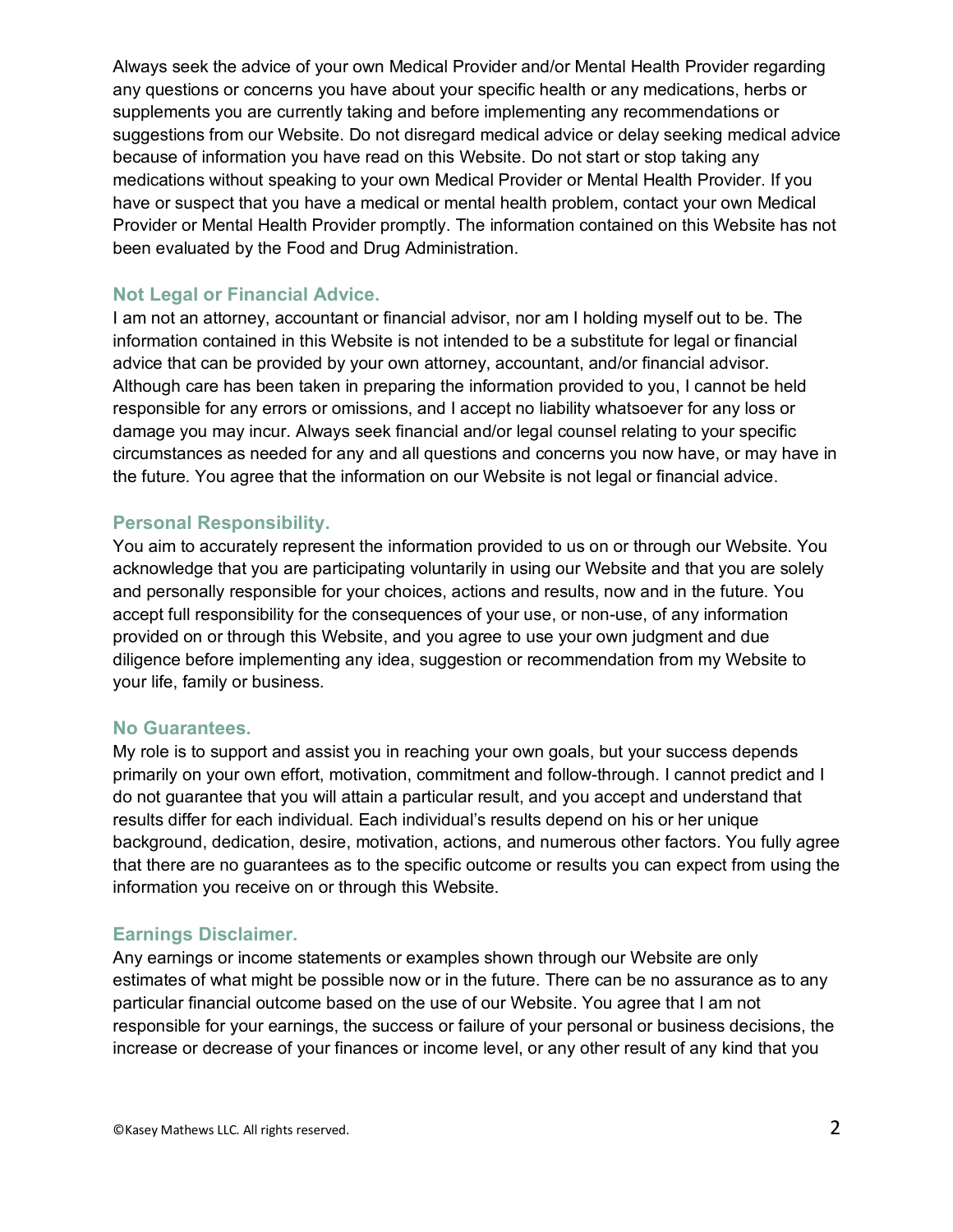Always seek the advice of your own Medical Provider and/or Mental Health Provider regarding any questions or concerns you have about your specific health or any medications, herbs or supplements you are currently taking and before implementing any recommendations or suggestions from our Website. Do not disregard medical advice or delay seeking medical advice because of information you have read on this Website. Do not start or stop taking any medications without speaking to your own Medical Provider or Mental Health Provider. If you have or suspect that you have a medical or mental health problem, contact your own Medical Provider or Mental Health Provider promptly. The information contained on this Website has not been evaluated by the Food and Drug Administration.

# **Not Legal or Financial Advice.**

I am not an attorney, accountant or financial advisor, nor am I holding myself out to be. The information contained in this Website is not intended to be a substitute for legal or financial advice that can be provided by your own attorney, accountant, and/or financial advisor. Although care has been taken in preparing the information provided to you, I cannot be held responsible for any errors or omissions, and I accept no liability whatsoever for any loss or damage you may incur. Always seek financial and/or legal counsel relating to your specific circumstances as needed for any and all questions and concerns you now have, or may have in the future. You agree that the information on our Website is not legal or financial advice.

### **Personal Responsibility.**

You aim to accurately represent the information provided to us on or through our Website. You acknowledge that you are participating voluntarily in using our Website and that you are solely and personally responsible for your choices, actions and results, now and in the future. You accept full responsibility for the consequences of your use, or non-use, of any information provided on or through this Website, and you agree to use your own judgment and due diligence before implementing any idea, suggestion or recommendation from my Website to your life, family or business.

#### **No Guarantees.**

My role is to support and assist you in reaching your own goals, but your success depends primarily on your own effort, motivation, commitment and follow-through. I cannot predict and I do not guarantee that you will attain a particular result, and you accept and understand that results differ for each individual. Each individual's results depend on his or her unique background, dedication, desire, motivation, actions, and numerous other factors. You fully agree that there are no guarantees as to the specific outcome or results you can expect from using the information you receive on or through this Website.

# **Earnings Disclaimer.**

Any earnings or income statements or examples shown through our Website are only estimates of what might be possible now or in the future. There can be no assurance as to any particular financial outcome based on the use of our Website. You agree that I am not responsible for your earnings, the success or failure of your personal or business decisions, the increase or decrease of your finances or income level, or any other result of any kind that you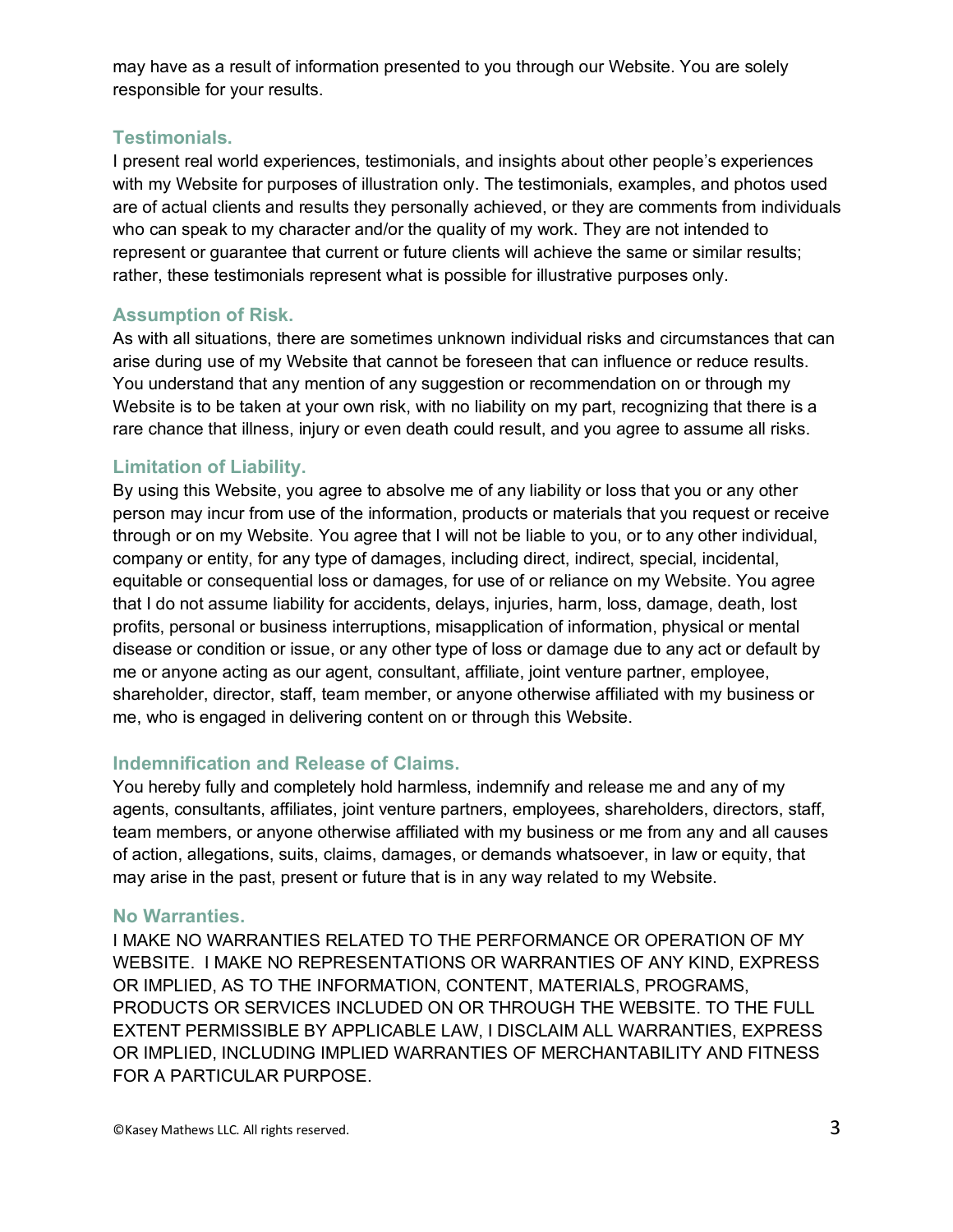may have as a result of information presented to you through our Website. You are solely responsible for your results.

#### **Testimonials.**

I present real world experiences, testimonials, and insights about other people's experiences with my Website for purposes of illustration only. The testimonials, examples, and photos used are of actual clients and results they personally achieved, or they are comments from individuals who can speak to my character and/or the quality of my work. They are not intended to represent or guarantee that current or future clients will achieve the same or similar results; rather, these testimonials represent what is possible for illustrative purposes only.

# **Assumption of Risk.**

As with all situations, there are sometimes unknown individual risks and circumstances that can arise during use of my Website that cannot be foreseen that can influence or reduce results. You understand that any mention of any suggestion or recommendation on or through my Website is to be taken at your own risk, with no liability on my part, recognizing that there is a rare chance that illness, injury or even death could result, and you agree to assume all risks.

# **Limitation of Liability.**

By using this Website, you agree to absolve me of any liability or loss that you or any other person may incur from use of the information, products or materials that you request or receive through or on my Website. You agree that I will not be liable to you, or to any other individual, company or entity, for any type of damages, including direct, indirect, special, incidental, equitable or consequential loss or damages, for use of or reliance on my Website. You agree that I do not assume liability for accidents, delays, injuries, harm, loss, damage, death, lost profits, personal or business interruptions, misapplication of information, physical or mental disease or condition or issue, or any other type of loss or damage due to any act or default by me or anyone acting as our agent, consultant, affiliate, joint venture partner, employee, shareholder, director, staff, team member, or anyone otherwise affiliated with my business or me, who is engaged in delivering content on or through this Website.

# **Indemnification and Release of Claims.**

You hereby fully and completely hold harmless, indemnify and release me and any of my agents, consultants, affiliates, joint venture partners, employees, shareholders, directors, staff, team members, or anyone otherwise affiliated with my business or me from any and all causes of action, allegations, suits, claims, damages, or demands whatsoever, in law or equity, that may arise in the past, present or future that is in any way related to my Website.

#### **No Warranties.**

I MAKE NO WARRANTIES RELATED TO THE PERFORMANCE OR OPERATION OF MY WEBSITE. I MAKE NO REPRESENTATIONS OR WARRANTIES OF ANY KIND, EXPRESS OR IMPLIED, AS TO THE INFORMATION, CONTENT, MATERIALS, PROGRAMS, PRODUCTS OR SERVICES INCLUDED ON OR THROUGH THE WEBSITE. TO THE FULL EXTENT PERMISSIBLE BY APPLICABLE LAW, I DISCLAIM ALL WARRANTIES, EXPRESS OR IMPLIED, INCLUDING IMPLIED WARRANTIES OF MERCHANTABILITY AND FITNESS FOR A PARTICULAR PURPOSE.